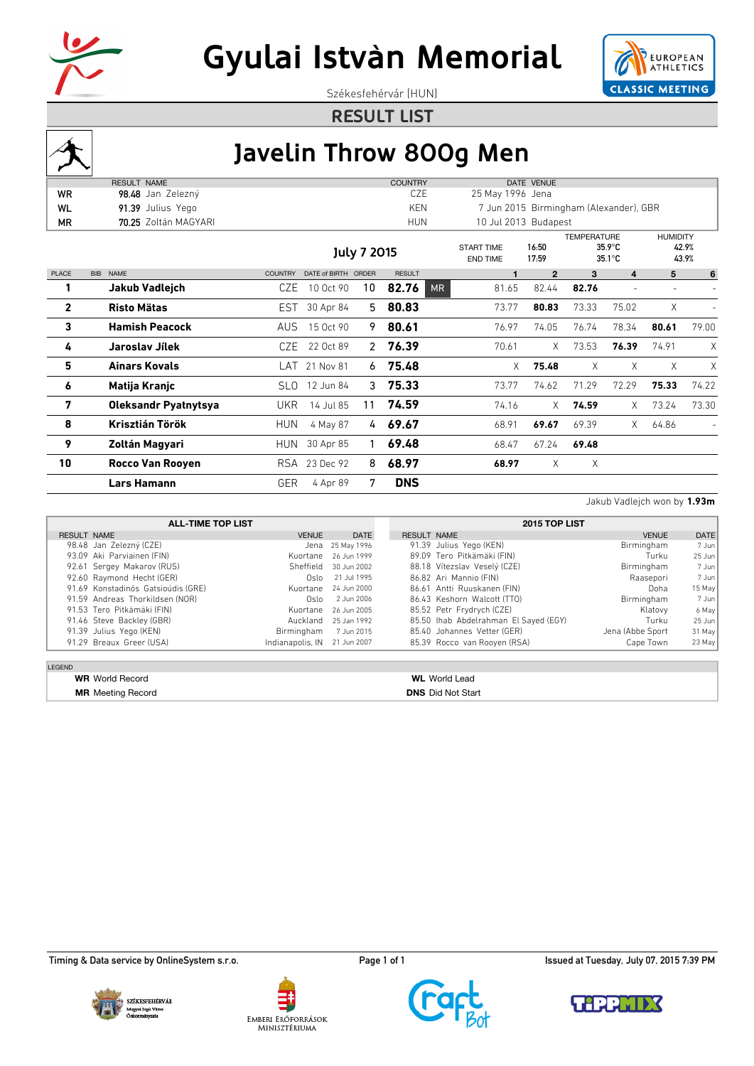



Székesfehérvár (HUN)

**RESULT LIST**



## **Javelin Throw 800g Men**

|              | <b>RESULT NAME</b>          |                |                     |               | <b>COUNTRY</b> |                                      |       | DATE VENUE           |                    |                                        |                                   |       |
|--------------|-----------------------------|----------------|---------------------|---------------|----------------|--------------------------------------|-------|----------------------|--------------------|----------------------------------------|-----------------------------------|-------|
| <b>WR</b>    | 98.48 Jan Zelezný           |                |                     |               | CZE            | 25 May 1996 Jena                     |       |                      |                    |                                        |                                   |       |
| WL           | 91.39 Julius Yego           |                |                     |               | KEN            |                                      |       |                      |                    | 7 Jun 2015 Birmingham (Alexander), GBR |                                   |       |
| ΜR           | 70.25 Zoltán MAGYARI        |                |                     |               | <b>HUN</b>     |                                      |       | 10 Jul 2013 Budapest |                    |                                        |                                   |       |
|              |                             |                |                     | July 7 2015   |                | <b>START TIME</b><br><b>END TIME</b> |       | 16:50<br>17:59       | <b>TEMPERATURE</b> | $35.9^{\circ}$ C<br>$35.1^{\circ}$ C   | <b>HUMIDITY</b><br>42.9%<br>43.9% |       |
| <b>PLACE</b> | <b>NAME</b><br><b>BIB</b>   | <b>COUNTRY</b> | DATE of BIRTH ORDER |               | <b>RESULT</b>  |                                      |       | $\mathbf{2}$         | 3                  | 4                                      | 5                                 | 6     |
| 1            | Jakub Vadlejch              | CZE            | 10 Oct 90           | 10            | 82.76          | <b>MR</b>                            | 81.65 | 82.44                | 82.76              |                                        |                                   |       |
| $\mathbf{2}$ | <b>Risto Mätas</b>          | EST.           | 30 Apr 84           | 5             | 80.83          |                                      | 73.77 | 80.83                | 73.33              | 75.02                                  | X                                 |       |
| 3            | <b>Hamish Peacock</b>       | AUS            | 15 Oct 90           | 9             | 80.61          |                                      | 76.97 | 74.05                | 76.74              | 78.34                                  | 80.61                             | 79.00 |
| 4            | Jaroslav Jílek              | CZE            | 22 Oct 89           |               | 2, 76.39       |                                      | 70.61 | X                    | 73.53              | 76.39                                  | 74.91                             | X     |
| 5            | <b>Ainars Kovals</b>        | LAT            | 21 Nov 81           | 6             | 75.48          |                                      | X.    | 75.48                | X                  | X                                      | X                                 | Χ     |
| 6            | Matija Kranjc               | SLO.           | 12 Jun 84           |               | $3$ 75.33      |                                      | 73.77 | 74.62                | 71.29              | 72.29                                  | 75.33                             | 74.22 |
| 7            | <b>Oleksandr Pyatnytsya</b> | UKR            | 14 Jul 85           | 11            | 74.59          |                                      | 74.16 | X                    | 74.59              | X                                      | 73.24                             | 73.30 |
| 8            | Krisztián Török             | <b>HUN</b>     | 4 May 87            | $\frac{1}{4}$ | 69.67          |                                      | 68.91 | 69.67                | 69.39              | X.                                     | 64.86                             |       |
| 9            | Zoltán Magyari              | <b>HUN</b>     | 30 Apr 85           |               | 69.48          |                                      | 68.47 | 67.24                | 69.48              |                                        |                                   |       |
| 10           | <b>Rocco Van Rooyen</b>     |                | RSA 23 Dec 92       | 8             | 68.97          |                                      | 68.97 | Χ                    | Χ                  |                                        |                                   |       |
|              | Lars Hamann                 | GER            | 4 Apr 89            | 7             | <b>DNS</b>     |                                      |       |                      |                    |                                        |                                   |       |
|              |                             |                |                     |               |                |                                      |       |                      |                    |                                        |                                   |       |

Jakub Vadlejch won by **1.93m**

|                                    | <b>ALL-TIME TOP LIST</b>     | 2015 TOP LIST |                                       |                  |          |  |
|------------------------------------|------------------------------|---------------|---------------------------------------|------------------|----------|--|
| <b>RESULT NAME</b>                 | <b>VENUE</b>                 | <b>DATE</b>   | <b>RESULT NAME</b>                    | <b>VENUE</b>     | DATE     |  |
| 98.48 Jan Zelezný (CZE)            | Jena                         | 25 May 1996   | 91.39 Julius Yego (KEN)               | Birmingham       | 7 Jun    |  |
| 93.09 Aki Parviainen (FIN)         | Kuortane                     | 26 Jun 1999   | 89.09 Tero Pitkämäki (FIN)            | Turku            | $25$ Jun |  |
| 92.61 Sergey Makarov (RUS)         | Sheffield                    | 30 Jun 2002   | 88.18 Vítezslav Veselý (CZE)          | Birmingham       | 7 Jun    |  |
| 92.60 Raymond Hecht (GER)          | Oslo                         | 21 Jul 1995   | 86.82 Ari Mannio (FIN)                | Raasepori        | 7 Jun    |  |
| 91.69 Konstadinós Gatsioúdis (GRE) | Kuortane                     | 24 Jun 2000   | 86.61 Antti Ruuskanen (FIN)           | Doha             | 15 May   |  |
| 91.59 Andreas Thorkildsen (NOR)    | Oslo                         | 2 Jun 2006    | 86.43 Keshorn Walcott (TTO)           | Birmingham       | 7 Jun    |  |
| 91.53 Tero Pitkämäki (FIN)         | Kuortane                     | 26 Jun 2005   | 85.52 Petr Frydrych (CZE)             | Klatovy          | 6 May    |  |
| 91.46 Steve Backley (GBR)          | Auckland                     | 25 Jan 1992   | 85.50 Ihab Abdelrahman El Sayed (EGY) | Turku            | $25$ Jun |  |
| 91.39 Julius Yego (KEN)            | Birmingham                   | 7 Jun 2015    | 85.40 Johannes Vetter (GER)           | Jena (Abbe Sport | 31 May   |  |
| 91.29 Breaux Greer (USA)           | Indianapolis, IN 21 Jun 2007 |               | 85.39 Rocco van Rooyen (RSA)          | Cape Town        | 23 May   |  |

LEGEND

**MR** Meeting Record **DNS** Did Not Start

## **WR** World Record **WL** World Lead







Timing & Data service by OnlineSystem s.r.o. example at Tuesday, July 07, 2015 7:39 PM